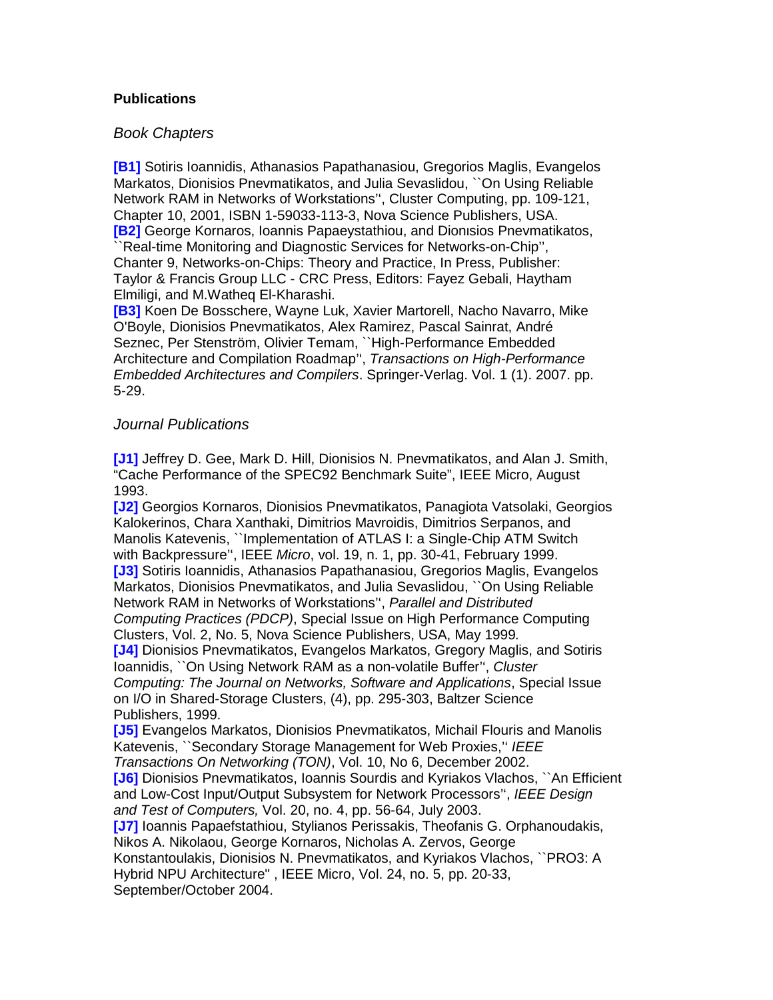## **Publications**

## Book Chapters

**[B1]** Sotiris Ioannidis, Athanasios Papathanasiou, Gregorios Maglis, Evangelos Markatos, Dionisios Pnevmatikatos, and Julia Sevaslidou, ``On Using Reliable Network RAM in Networks of Workstations'', Cluster Computing, pp. 109-121, Chapter 10, 2001, ISBN 1-59033-113-3, Nova Science Publishers, USA. **[B2]** George Kornaros, Ioannis Papaeystathiou, and Dionιsios Pnevmatikatos, ``Real-time Monitoring and Diagnostic Services for Networks-on-Chip'', Chanter 9, Networks-on-Chips: Theory and Practice, In Press, Publisher: Taylor & Francis Group LLC - CRC Press, Editors: Fayez Gebali, Haytham Elmiligi, and M.Watheq El-Kharashi.

**[B3]** Koen De Bosschere, Wayne Luk, Xavier Martorell, Nacho Navarro, Mike O'Boyle, Dionisios Pnevmatikatos, Alex Ramirez, Pascal Sainrat, André Seznec, Per Stenström, Olivier Temam, ``High-Performance Embedded Architecture and Compilation Roadmap'', Transactions on High-Performance Embedded Architectures and Compilers. Springer-Verlag. Vol. 1 (1). 2007. pp. 5-29.

## Journal Publications

**[J1]** Jeffrey D. Gee, Mark D. Hill, Dionisios N. Pnevmatikatos, and Alan J. Smith, "Cache Performance of the SPEC92 Benchmark Suite", IEEE Micro, August 1993.

**[J2]** Georgios Kornaros, Dionisios Pnevmatikatos, Panagiota Vatsolaki, Georgios Kalokerinos, Chara Xanthaki, Dimitrios Mavroidis, Dimitrios Serpanos, and Manolis Katevenis, ``Implementation of ATLAS I: a Single-Chip ATM Switch with Backpressure'', IEEE Micro, vol. 19, n. 1, pp. 30-41, February 1999. **[J3]** Sotiris Ioannidis, Athanasios Papathanasiou, Gregorios Maglis, Evangelos Markatos, Dionisios Pnevmatikatos, and Julia Sevaslidou, ``On Using Reliable Network RAM in Networks of Workstations'', Parallel and Distributed Computing Practices (PDCP), Special Issue on High Performance Computing Clusters, Vol. 2, No. 5, Nova Science Publishers, USA, May 1999. **[J4]** Dionisios Pnevmatikatos, Evangelos Markatos, Gregory Maglis, and Sotiris Ioannidis, ``On Using Network RAM as a non-volatile Buffer'', Cluster Computing: The Journal on Networks, Software and Applications, Special Issue on I/O in Shared-Storage Clusters, (4), pp. 295-303, Baltzer Science Publishers, 1999.

**[J5]** Evangelos Markatos, Dionisios Pnevmatikatos, Michail Flouris and Manolis Katevenis, "Secondary Storage Management for Web Proxies," IEEE Transactions On Networking (TON), Vol. 10, No 6, December 2002.

**[J6]** Dionisios Pnevmatikatos, Ioannis Sourdis and Kyriakos Vlachos, ``An Efficient and Low-Cost Input/Output Subsystem for Network Processors", IEEE Design and Test of Computers, Vol. 20, no. 4, pp. 56-64, July 2003.

**[J7]** Ioannis Papaefstathiou, Stylianos Perissakis, Theofanis G. Orphanoudakis, Nikos A. Nikolaou, George Kornaros, Nicholas A. Zervos, George

Konstantoulakis, Dionisios N. Pnevmatikatos, and Kyriakos Vlachos, ``PRO3: A Hybrid NPU Architecture'' , IEEE Micro, Vol. 24, no. 5, pp. 20-33, September/October 2004.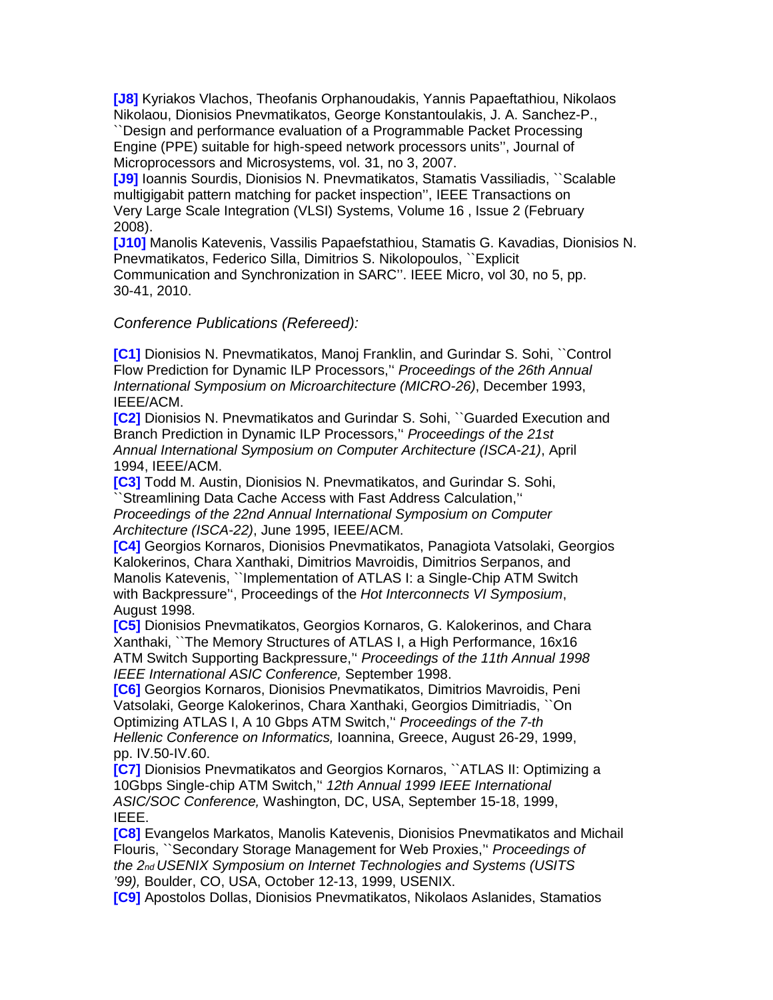**[J8]** Kyriakos Vlachos, Theofanis Orphanoudakis, Yannis Papaeftathiou, Nikolaos Nikolaou, Dionisios Pnevmatikatos, George Konstantoulakis, J. A. Sanchez-P.,

``Design and performance evaluation of a Programmable Packet Processing Engine (PPE) suitable for high-speed network processors units'', Journal of Microprocessors and Microsystems, vol. 31, no 3, 2007.

**[J9]** Ioannis Sourdis, Dionisios N. Pnevmatikatos, Stamatis Vassiliadis, ``Scalable multigigabit pattern matching for packet inspection'', IEEE Transactions on Very Large Scale Integration (VLSI) Systems, Volume 16 , Issue 2 (February 2008).

**[J10]** Manolis Katevenis, Vassilis Papaefstathiou, Stamatis G. Kavadias, Dionisios N. Pnevmatikatos, Federico Silla, Dimitrios S. Nikolopoulos, ``Explicit Communication and Synchronization in SARC''. IEEE Micro, vol 30, no 5, pp. 30-41, 2010.

## Conference Publications (Refereed):

**[C1]** Dionisios N. Pnevmatikatos, Manoj Franklin, and Gurindar S. Sohi, ``Control Flow Prediction for Dynamic ILP Processors,'' Proceedings of the 26th Annual International Symposium on Microarchitecture (MICRO-26), December 1993, IEEE/ACM.

**[C2]** Dionisios N. Pnevmatikatos and Gurindar S. Sohi, ``Guarded Execution and Branch Prediction in Dynamic ILP Processors,'' Proceedings of the 21st Annual International Symposium on Computer Architecture (ISCA-21), April 1994, IEEE/ACM.

**[C3]** Todd M. Austin, Dionisios N. Pnevmatikatos, and Gurindar S. Sohi, ``Streamlining Data Cache Access with Fast Address Calculation,''

Proceedings *ο*f the 22nd Annual *Ι*nternational Symposium on Computer Architecture (ISCA-22), June 1995, IEEE/ACM.

**[C4]** Georgios Kornaros, Dionisios Pnevmatikatos, Panagiota Vatsolaki, Georgios Kalokerinos, Chara Xanthaki, Dimitrios Mavroidis, Dimitrios Serpanos, and Manolis Katevenis, ``Implementation of ATLAS I: a Single-Chip ATM Switch with Backpressure", Proceedings of the Hot Interconnects VI Symposium, August 1998.

**[C5]** Dionisios Pnevmatikatos, Georgios Kornaros, G. Kalokerinos, and Chara Xanthaki, ``The Memory Structures of ATLAS I, a High Performance, 16x16 ATM Switch Supporting Backpressure,'' Proceedings of the 11th Annual 1998 IEEE International ASIC Conference, September 1998.

**[C6]** Georgios Kornaros, Dionisios Pnevmatikatos, Dimitrios Mavroidis, Peni Vatsolaki, George Kalokerinos, Chara Xanthaki, Georgios Dimitriadis, ``On Optimizing ATLAS I, A 10 Gbps ATM Switch,'' Proceedings of the 7-th Hellenic Conference on Informatics, Ioannina, Greece, August 26-29, 1999, pp. IV.50-IV.60.

**[C7]** Dionisios Pnevmatikatos and Georgios Kornaros, ``ATLAS II: Optimizing a 10Gbps Single-chip ATM Switch,'' 12th Annual 1999 IEEE International ASIC/SOC Conference, Washington, DC, USA, September 15-18, 1999, IEEE.

**[C8]** Evangelos Markatos, Manolis Katevenis, Dionisios Pnevmatikatos and Michail Flouris, ``Secondary Storage Management for Web Proxies,'' Proceedings of the 2nd USENIX Symposium on Internet Technologies and Systems (USITS '99), Boulder, CO, USA, October 12-13, 1999, USENIX.

**[C9]** Apostolos Dollas, Dionisios Pnevmatikatos, Nikolaos Aslanides, Stamatios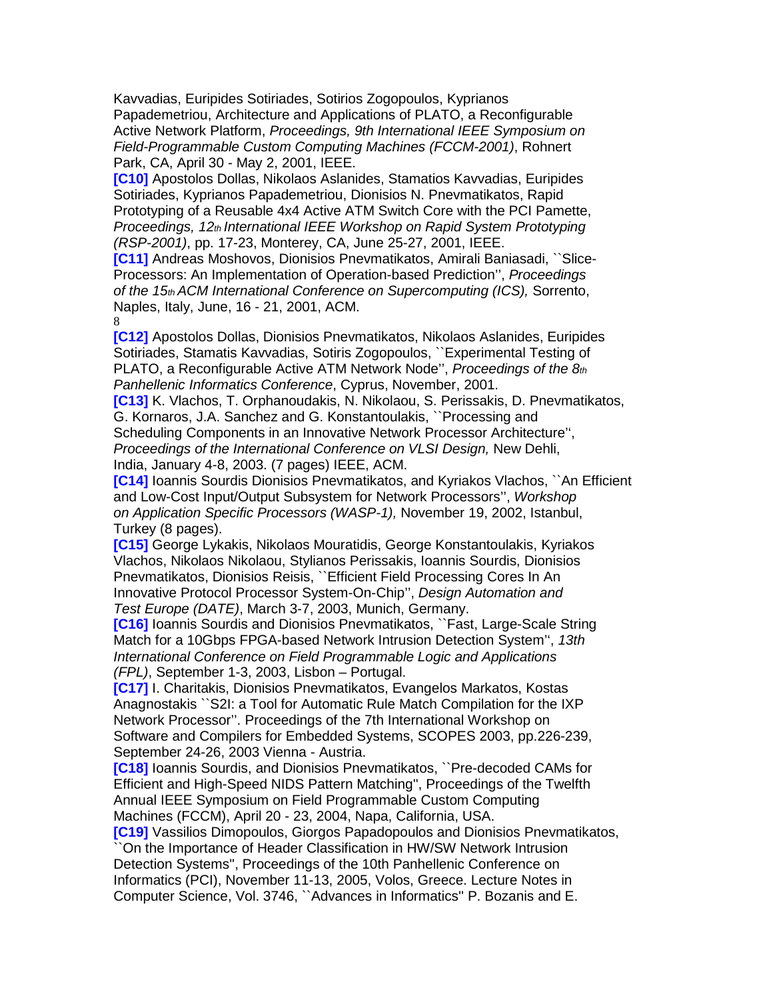Kavvadias, Euripides Sotiriades, Sotirios Zogopoulos, Kyprianos Papademetriou, Architecture and Applications of PLATO, a Reconfigurable Active Network Platform, Proceedings, 9th International IEEE Symposium on Field-Programmable Custom Computing Machines (FCCM-2001), Rohnert Park, CA, April 30 - May 2, 2001, IEEE.

**[C10]** Apostolos Dollas, Nikolaos Aslanides, Stamatios Kavvadias, Euripides Sotiriades, Kyprianos Papademetriou, Dionisios N. Pnevmatikatos, Rapid Prototyping of a Reusable 4x4 Active ATM Switch Core with the PCI Pamette, Proceedings, 12th International IEEE Workshop on Rapid System Prototyping (RSP-2001), pp. 17-23, Monterey, CA, June 25-27, 2001, IEEE.

**[C11]** Andreas Moshovos, Dionisios Pnevmatikatos, Amirali Baniasadi, ``Slice-Processors: An Implementation of Operation-based Prediction'', Proceedings of the 15th ACM International Conference on Supercomputing (ICS), Sorrento, Naples, Italy, June, 16 - 21, 2001, ACM. 8

**[C12]** Apostolos Dollas, Dionisios Pnevmatikatos, Nikolaos Aslanides, Euripides Sotiriades, Stamatis Kavvadias, Sotiris Zogopoulos, ``Experimental Testing of PLATO, a Reconfigurable Active ATM Network Node", Proceedings of the  $8<sub>th</sub>$ Panhellenic Informatics Conference, Cyprus, November, 2001.

**[C13]** K. Vlachos, T. Orphanoudakis, N. Nikolaou, S. Perissakis, D. Pnevmatikatos, G. Kornaros, J.A. Sanchez and G. Konstantoulakis, ``Processing and Scheduling Components in an Innovative Network Processor Architecture'', Proceedings of the International Conference on VLSI Design, New Dehli, India, January 4-8, 2003. (7 pages) IEEE, ACM.

**[C14]** Ioannis Sourdis Dionisios Pnevmatikatos, and Kyriakos Vlachos, ``An Efficient and Low-Cost Input/Output Subsystem for Network Processors'', Workshop on Application Specific Processors (WASP-1), November 19, 2002, Istanbul, Turkey (8 pages).

**[C15]** George Lykakis, Nikolaos Mouratidis, George Konstantoulakis, Kyriakos Vlachos, Nikolaos Nikolaou, Stylianos Perissakis, Ioannis Sourdis, Dionisios Pnevmatikatos, Dionisios Reisis, ``Efficient Field Processing Cores In An Innovative Protocol Processor System-On-Chip'', Design Automation and Test Europe (DATE), March 3-7, 2003, Munich, Germany.

**[C16]** Ioannis Sourdis and Dionisios Pnevmatikatos, ``Fast, Large-Scale String Match for a 10Gbps FPGA-based Network Intrusion Detection System'', 13th International Conference on Field Programmable Logic and Applications (FPL), September 1-3, 2003, Lisbon – Portugal.

**[C17]** I. Charitakis, Dionisios Pnevmatikatos, Evangelos Markatos, Kostas Anagnostakis ``S2I: a Tool for Automatic Rule Match Compilation for the IXP Network Processor''. Proceedings of the 7th International Workshop on Software and Compilers for Embedded Systems, SCOPES 2003, pp.226-239, September 24-26, 2003 Vienna - Austria.

**[C18]** Ioannis Sourdis, and Dionisios Pnevmatikatos, ``Pre-decoded CAMs for Efficient and High-Speed NIDS Pattern Matching'', Proceedings of the Twelfth Annual IEEE Symposium on Field Programmable Custom Computing Machines (FCCM), April 20 - 23, 2004, Napa, California, USA.

**[C19]** Vassilios Dimopoulos, Giorgos Papadopoulos and Dionisios Pnevmatikatos, ``On the Importance of Header Classification in HW/SW Network Intrusion Detection Systems'', Proceedings of the 10th Panhellenic Conference on Informatics (PCI), November 11-13, 2005, Volos, Greece. Lecture Notes in Computer Science, Vol. 3746, ``Advances in Informatics'' P. Bozanis and E.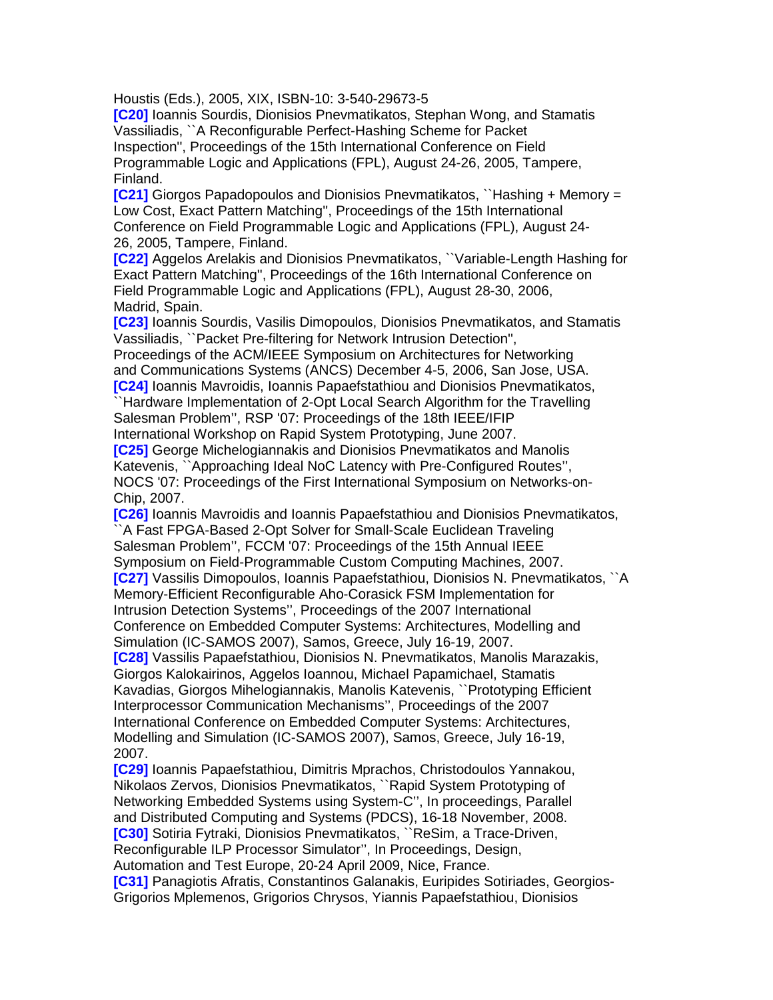Houstis (Eds.), 2005, XIX, ISBN-10: 3-540-29673-5

**[C20]** Ioannis Sourdis, Dionisios Pnevmatikatos, Stephan Wong, and Stamatis Vassiliadis, ``A Reconfigurable Perfect-Hashing Scheme for Packet Inspection'', Proceedings of the 15th International Conference on Field Programmable Logic and Applications (FPL), August 24-26, 2005, Tampere, Finland.

**[C21]** Giorgos Papadopoulos and Dionisios Pnevmatikatos, ``Hashing + Memory = Low Cost, Exact Pattern Matching'', Proceedings of the 15th International Conference on Field Programmable Logic and Applications (FPL), August 24- 26, 2005, Tampere, Finland.

**[C22]** Aggelos Arelakis and Dionisios Pnevmatikatos, ``Variable-Length Hashing for Exact Pattern Matching'', Proceedings of the 16th International Conference on Field Programmable Logic and Applications (FPL), August 28-30, 2006, Madrid, Spain.

**[C23]** Ioannis Sourdis, Vasilis Dimopoulos, Dionisios Pnevmatikatos, and Stamatis Vassiliadis, ``Packet Pre-filtering for Network Intrusion Detection'',

Proceedings of the ACM/IEEE Symposium on Architectures for Networking and Communications Systems (ANCS) December 4-5, 2006, San Jose, USA. **[C24]** Ioannis Mavroidis, Ioannis Papaefstathiou and Dionisios Pnevmatikatos, ``Hardware Implementation of 2-Opt Local Search Algorithm for the Travelling Salesman Problem'', RSP '07: Proceedings of the 18th IEEE/IFIP

International Workshop on Rapid System Prototyping, June 2007. **[C25]** George Michelogiannakis and Dionisios Pnevmatikatos and Manolis Katevenis, ``Approaching Ideal NoC Latency with Pre-Configured Routes'', NOCS '07: Proceedings of the First International Symposium on Networks-on-Chip, 2007.

**[C26]** Ioannis Mavroidis and Ioannis Papaefstathiou and Dionisios Pnevmatikatos, A Fast FPGA-Based 2-Opt Solver for Small-Scale Euclidean Traveling Salesman Problem'', FCCM '07: Proceedings of the 15th Annual IEEE Symposium on Field-Programmable Custom Computing Machines, 2007. **[C27]** Vassilis Dimopoulos, Ioannis Papaefstathiou, Dionisios N. Pnevmatikatos, ``A Memory-Efficient Reconfigurable Aho-Corasick FSM Implementation for Intrusion Detection Systems'', Proceedings of the 2007 International Conference on Embedded Computer Systems: Architectures, Modelling and Simulation (IC-SAMOS 2007), Samos, Greece, July 16-19, 2007. **[C28]** Vassilis Papaefstathiou, Dionisios N. Pnevmatikatos, Manolis Marazakis, Giorgos Kalokairinos, Aggelos Ioannou, Michael Papamichael, Stamatis Kavadias, Giorgos Mihelogiannakis, Manolis Katevenis, ``Prototyping Efficient Interprocessor Communication Mechanisms'', Proceedings of the 2007 International Conference on Embedded Computer Systems: Architectures, Modelling and Simulation (IC-SAMOS 2007), Samos, Greece, July 16-19, 2007.

**[C29]** Ioannis Papaefstathiou, Dimitris Mprachos, Christodoulos Yannakou, Nikolaos Zervos, Dionisios Pnevmatikatos, ``Rapid System Prototyping of Networking Embedded Systems using System-C'', In proceedings, Parallel and Distributed Computing and Systems (PDCS), 16-18 November, 2008. **[C30]** Sotiria Fytraki, Dionisios Pnevmatikatos, ``ReSim, a Trace-Driven, Reconfigurable ILP Processor Simulator'', In Proceedings, Design, Automation and Test Europe, 20-24 April 2009, Nice, France. **[C31]** Panagiotis Afratis, Constantinos Galanakis, Euripides Sotiriades, Georgios-Grigorios Mplemenos, Grigorios Chrysos, Yiannis Papaefstathiou, Dionisios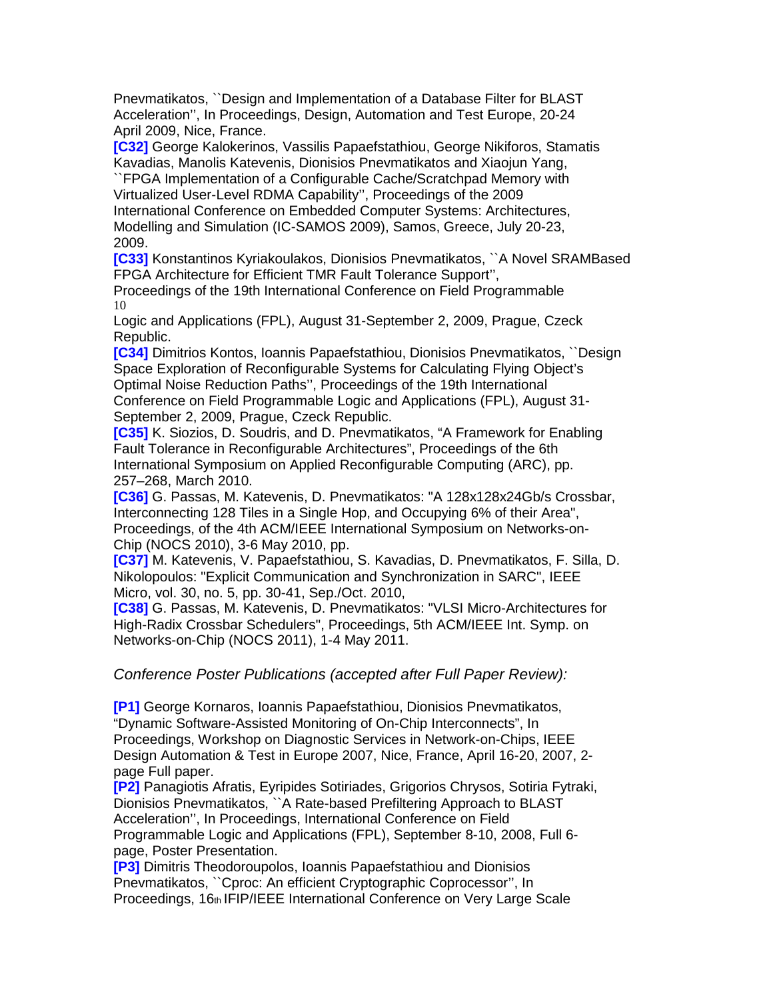Pnevmatikatos, ``Design and Implementation of a Database Filter for BLAST Acceleration'', In Proceedings, Design, Automation and Test Europe, 20-24 April 2009, Nice, France.

**[C32]** George Kalokerinos, Vassilis Papaefstathiou, George Nikiforos, Stamatis Kavadias, Manolis Katevenis, Dionisios Pnevmatikatos and Xiaojun Yang,

``FPGA Implementation of a Configurable Cache/Scratchpad Memory with Virtualized User-Level RDMA Capability'', Proceedings of the 2009 International Conference on Embedded Computer Systems: Architectures, Modelling and Simulation (IC-SAMOS 2009), Samos, Greece, July 20-23, 2009.

**[C33]** Konstantinos Kyriakoulakos, Dionisios Pnevmatikatos, ``A Novel SRAMBased FPGA Architecture for Efficient TMR Fault Tolerance Support'',

Proceedings of the 19th International Conference on Field Programmable 10

Logic and Applications (FPL), August 31-September 2, 2009, Prague, Czeck Republic.

**[C34]** Dimitrios Kontos, Ioannis Papaefstathiou, Dionisios Pnevmatikatos, ``Design Space Exploration of Reconfigurable Systems for Calculating Flying Object's Optimal Noise Reduction Paths'', Proceedings of the 19th International Conference on Field Programmable Logic and Applications (FPL), August 31- September 2, 2009, Prague, Czeck Republic.

**[C35]** K. Siozios, D. Soudris, and D. Pnevmatikatos, "A Framework for Enabling Fault Tolerance in Reconfigurable Architectures", Proceedings of the 6th International Symposium on Applied Reconfigurable Computing (ARC), pp. 257–268, March 2010.

**[C36]** G. Passas, M. Katevenis, D. Pnevmatikatos: "A 128x128x24Gb/s Crossbar, Interconnecting 128 Tiles in a Single Hop, and Occupying 6% of their Area", Proceedings, of the 4th ACM/IEEE International Symposium on Networks-on-Chip (NOCS 2010), 3-6 May 2010, pp.

**[C37]** M. Katevenis, V. Papaefstathiou, S. Kavadias, D. Pnevmatikatos, F. Silla, D. Nikolopoulos: "Explicit Communication and Synchronization in SARC", IEEE Micro, vol. 30, no. 5, pp. 30-41, Sep./Oct. 2010,

**[C38]** G. Passas, M. Katevenis, D. Pnevmatikatos: "VLSI Micro-Architectures for High-Radix Crossbar Schedulers", Proceedings, 5th ACM/IEEE Int. Symp. on Networks-on-Chip (NOCS 2011), 1-4 May 2011.

Conference Poster Publications (accepted after Full Paper Review):

**[P1]** George Kornaros, Ioannis Papaefstathiou, Dionisios Pnevmatikatos, "Dynamic Software-Assisted Monitoring of On-Chip Interconnects", In Proceedings, Workshop on Diagnostic Services in Network-on-Chips, IEEE Design Automation & Test in Europe 2007, Nice, France, April 16-20, 2007, 2 page Full paper.

**[P2]** Panagiotis Afratis, Eyripides Sotiriades, Grigorios Chrysos, Sotiria Fytraki, Dionisios Pnevmatikatos, ``A Rate-based Prefiltering Approach to BLAST Acceleration'', In Proceedings, International Conference on Field Programmable Logic and Applications (FPL), September 8-10, 2008, Full 6 page, Poster Presentation.

**[P3]** Dimitris Theodoroupolos, Ioannis Papaefstathiou and Dionisios Pnevmatikatos, ``Cproc: An efficient Cryptographic Coprocessor'', In Proceedings, 16th IFIP/IEEE International Conference on Very Large Scale